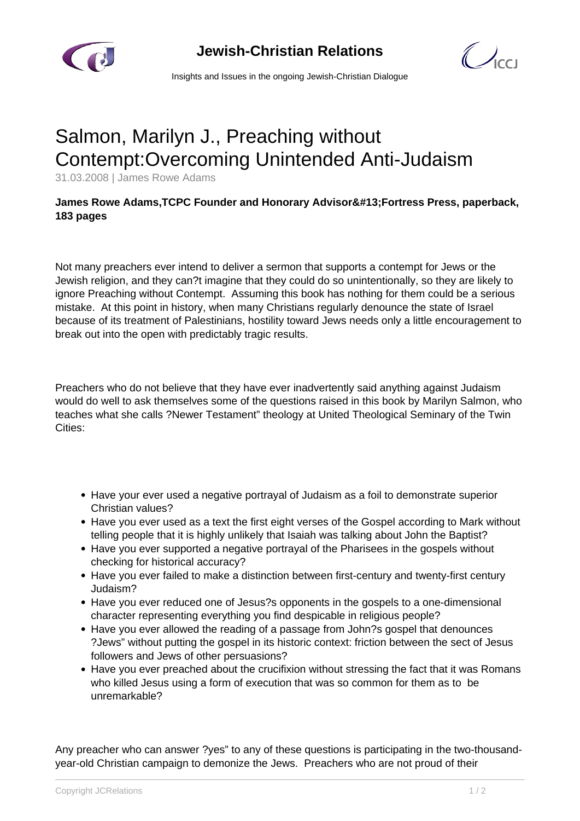



Insights and Issues in the ongoing Jewish-Christian Dialogue

## Salmon, Marilyn J., Preaching without Contempt:Overcoming Unintended Anti-Judaism

31.03.2008 | James Rowe Adams

## James Rowe Adams, TCPC Founder and Honorary Advisor 
Fortress Press, paperback, **183 pages**

Not many preachers ever intend to deliver a sermon that supports a contempt for Jews or the Jewish religion, and they can?t imagine that they could do so unintentionally, so they are likely to ignore Preaching without Contempt. Assuming this book has nothing for them could be a serious mistake. At this point in history, when many Christians regularly denounce the state of Israel because of its treatment of Palestinians, hostility toward Jews needs only a little encouragement to break out into the open with predictably tragic results.

Preachers who do not believe that they have ever inadvertently said anything against Judaism would do well to ask themselves some of the questions raised in this book by Marilyn Salmon, who teaches what she calls ?Newer Testament" theology at United Theological Seminary of the Twin Cities:

- Have your ever used a negative portrayal of Judaism as a foil to demonstrate superior Christian values?
- Have you ever used as a text the first eight verses of the Gospel according to Mark without telling people that it is highly unlikely that Isaiah was talking about John the Baptist?
- Have you ever supported a negative portrayal of the Pharisees in the gospels without checking for historical accuracy?
- Have you ever failed to make a distinction between first-century and twenty-first century Judaism?
- Have you ever reduced one of Jesus?s opponents in the gospels to a one-dimensional character representing everything you find despicable in religious people?
- Have you ever allowed the reading of a passage from John?s gospel that denounces ?Jews" without putting the gospel in its historic context: friction between the sect of Jesus followers and Jews of other persuasions?
- Have you ever preached about the crucifixion without stressing the fact that it was Romans who killed Jesus using a form of execution that was so common for them as to be unremarkable?

Any preacher who can answer ?yes" to any of these questions is participating in the two-thousandyear-old Christian campaign to demonize the Jews. Preachers who are not proud of their